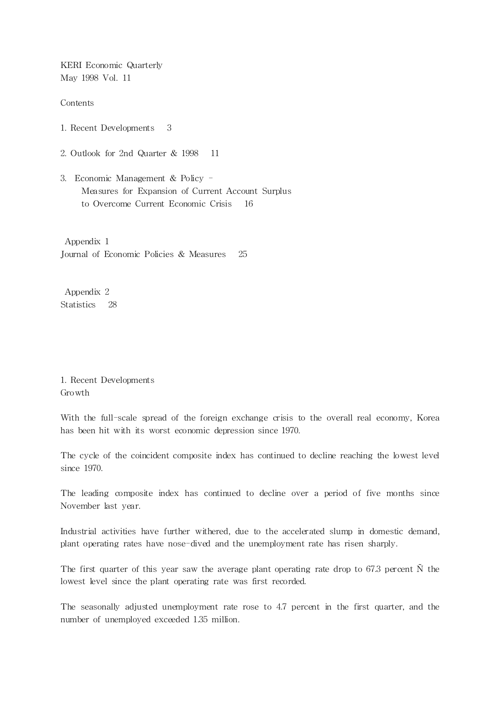KERI Economic Quarterly May 1998 Vol. 11

Contents

- 1. Recent Developments 3
- 2. Outlook for 2nd Quarter & 1998 11
- 3. Economic Management & Policy Measures for Expansion of Current Account Surplus to Overcome Current Economic Crisis 16

Appendix 1 Journal of Economic Policies & Measures 25

Appendix 2 Statistics 28

1. Recent Developments Growth

With the full-scale spread of the foreign exchange crisis to the overall real economy, Korea has been hit with its worst economic depression since 1970.

The cycle of the coincident composite index has continued to decline reaching the lowest level since 1970.

The leading composite index has continued to decline over a period of five months since November last year.

Industrial activities have further withered, due to the accelerated slump in domestic demand, plant operating rates have nose-dived and the unemployment rate has risen sharply.

The first quarter of this year saw the average plant operating rate drop to 67.3 percent  $\tilde{N}$  the lowest level since the plant operating rate was first recorded.

The seasonally adjusted unemployment rate rose to 4.7 percent in the first quarter, and the number of unemployed exceeded 1.35 million.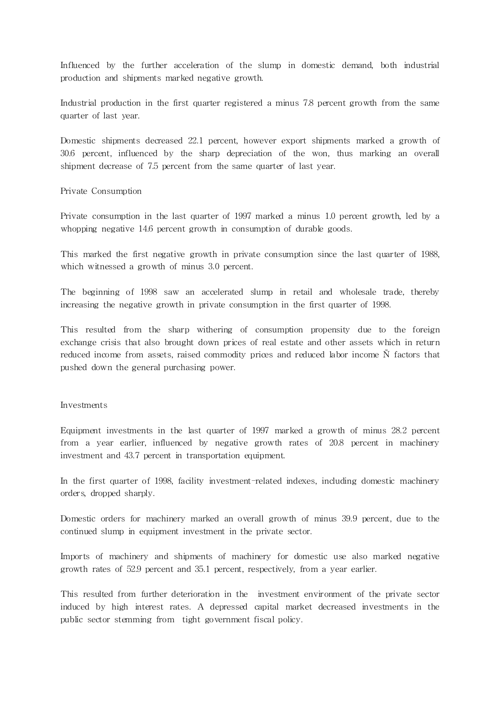Influenced by the further acceleration of the slump in domestic demand, both industrial production and shipments marked negative growth.

Industrial production in the first quarter registered a minus 7.8 percent growth from the same quarter of last year.

Domestic shipments decreased 22.1 percent, however export shipments marked a growth of 30.6 percent, influenced by the sharp depreciation of the won, thus marking an overall shipment decrease of 7.5 percent from the same quarter of last year.

### Private Consumption

Private consumption in the last quarter of 1997 marked a minus 1.0 percent growth, led by a whopping negative 14.6 percent growth in consumption of durable goods.

This marked the first negative growth in private consumption since the last quarter of 1988, which witnessed a growth of minus 3.0 percent.

The beginning of 1998 saw an accelerated slump in retail and wholesale trade, thereby increasing the negative growth in private consumption in the first quarter of 1998.

This resulted from the sharp withering of consumption propensity due to the foreign exchange crisis that also brought down prices of real estate and other assets which in return reduced income from assets, raised commodity prices and reduced labor income Ñ factors that pushed down the general purchasing power.

### Investments

Equipment investments in the last quarter of 1997 marked a growth of minus 28.2 percent from a year earlier, influenced by negative growth rates of 20.8 percent in machinery investment and 43.7 percent in transportation equipment.

In the first quarter of 1998, facility investment-related indexes, including domestic machinery orders, dropped sharply.

Domestic orders for machinery marked an overall growth of minus 39.9 percent, due to the continued slump in equipment investment in the private sector.

Imports of machinery and shipments of machinery for domestic use also marked negative growth rates of 52.9 percent and 35.1 percent, respectively, from a year earlier.

This resulted from further deterioration in the investment environment of the private sector induced by high interest rates. A depressed capital market decreased investments in the public sector stemming from tight government fiscal policy.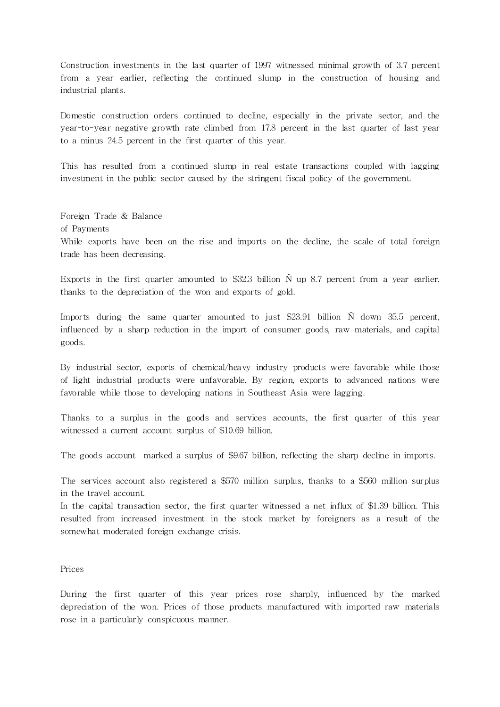Construction investments in the last quarter of 1997 witnessed minimal growth of 3.7 percent from a year earlier, reflecting the continued slump in the construction of housing and industrial plants.

Domestic construction orders continued to decline, especially in the private sector, and the year-to-year negative growth rate climbed from 17.8 percent in the last quarter of last year to a minus 24.5 percent in the first quarter of this year.

This has resulted from a continued slump in real estate transactions coupled with lagging investment in the public sector caused by the stringent fiscal policy of the government.

Foreign Trade & Balance of Payments While exports have been on the rise and imports on the decline, the scale of total foreign trade has been decreasing.

Exports in the first quarter amounted to \$32.3 billion  $\tilde{N}$  up 8.7 percent from a year earlier, thanks to the depreciation of the won and exports of gold.

Imports during the same quarter amounted to just \$23.91 billion  $\tilde{N}$  down 35.5 percent, influenced by a sharp reduction in the import of consumer goods, raw materials, and capital goods.

By industrial sector, exports of chemical/heavy industry products were favorable while those of light industrial products were unfavorable. By region, exports to advanced nations were favorable while those to developing nations in Southeast Asia were lagging.

Thanks to a surplus in the goods and services accounts, the first quarter of this year witnessed a current account surplus of \$10.69 billion.

The goods account marked a surplus of \$9.67 billion, reflecting the sharp decline in imports.

The services account also registered a \$570 million surplus, thanks to a \$560 million surplus in the travel account.

In the capital transaction sector, the first quarter witnessed a net influx of \$1.39 billion. This resulted from increased investment in the stock market by foreigners as a result of the somewhat moderated foreign exchange crisis.

# Prices

During the first quarter of this year prices rose sharply, influenced by the marked depreciation of the won. Prices of those products manufactured with imported raw materials rose in a particularly conspicuous manner.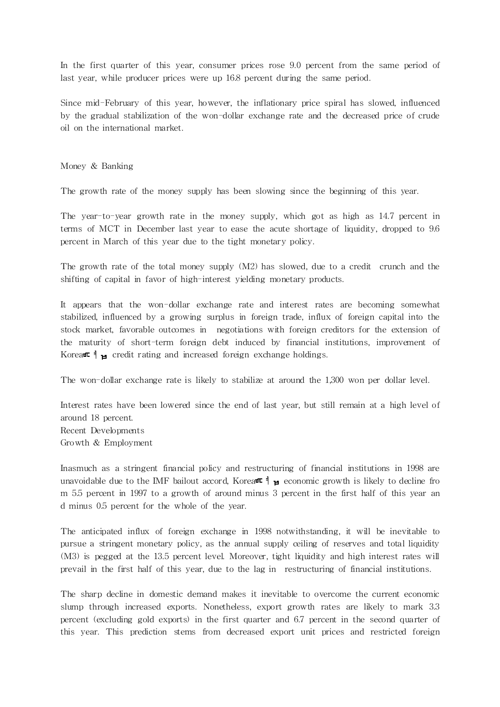In the first quarter of this year, consumer prices rose 9.0 percent from the same period of last year, while producer prices were up 16.8 percent during the same period.

Since mid-February of this year, however, the inflationary price spiral has slowed, influenced by the gradual stabilization of the won-dollar exchange rate and the decreased price of crude oil on the international market.

Money & Banking

The growth rate of the money supply has been slowing since the beginning of this year.

The year-to-year growth rate in the money supply, which got as high as 14.7 percent in terms of MCT in December last year to ease the acute shortage of liquidity, dropped to 9.6 percent in March of this year due to the tight monetary policy.

The growth rate of the total money supply (M2) has slowed, due to a credit crunch and the shifting of capital in favor of high-interest yielding monetary products.

It appears that the won-dollar exchange rate and interest rates are becoming somewhat stabilized, influenced by a growing surplus in foreign trade, influx of foreign capital into the stock market, favorable outcomes in negotiations with foreign creditors for the extension of the maturity of short-term foreign debt induced by financial institutions, improvement of Korea $\blacksquare$   $\blacksquare$  credit rating and increased foreign exchange holdings.

The won-dollar exchange rate is likely to stabilize at around the 1,300 won per dollar level.

Interest rates have been lowered since the end of last year, but still remain at a high level of around 18 percent. Recent Developments Growth & Employment

Inasmuch as a stringent financial policy and restructuring of financial institutions in 1998 are unavoidable due to the IMF bailout accord, Korea $\pi$  = economic growth is likely to decline fro m 5.5 percent in 1997 to a growth of around minus 3 percent in the first half of this year an d minus 0.5 percent for the whole of the year.

The anticipated influx of foreign exchange in 1998 notwithstanding, it will be inevitable to pursue a stringent monetary policy, as the annual supply ceiling of reserves and total liquidity (M3) is pegged at the 13.5 percent level. Moreover, tight liquidity and high interest rates will prevail in the first half of this year, due to the lag in restructuring of financial institutions.

The sharp decline in domestic demand makes it inevitable to overcome the current economic slump through increased exports. Nonetheless, export growth rates are likely to mark 3.3 percent (excluding gold exports) in the first quarter and 6.7 percent in the second quarter of this year. This prediction stems from decreased export unit prices and restricted foreign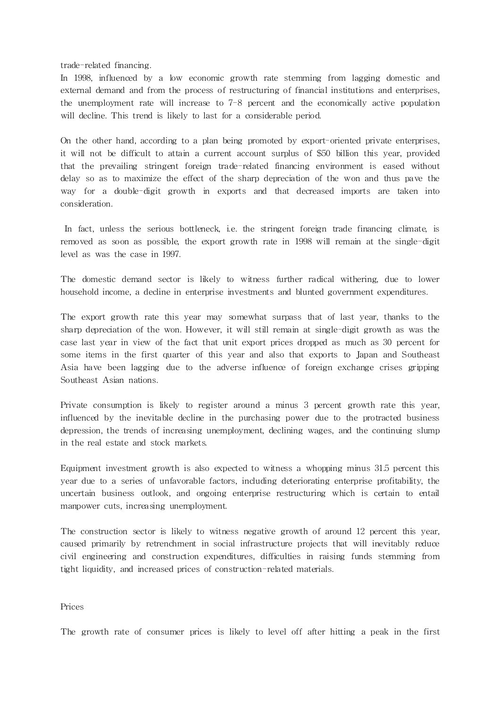trade-related financing.

In 1998, influenced by a low economic growth rate stemming from lagging domestic and external demand and from the process of restructuring of financial institutions and enterprises, the unemployment rate will increase to 7-8 percent and the economically active population will decline. This trend is likely to last for a considerable period.

On the other hand, according to a plan being promoted by export-oriented private enterprises, it will not be difficult to attain a current account surplus of \$50 billion this year, provided that the prevailing stringent foreign trade-related financing environment is eased without delay so as to maximize the effect of the sharp depreciation of the won and thus pave the way for a double-digit growth in exports and that decreased imports are taken into consideration.

In fact, unless the serious bottleneck, i.e. the stringent foreign trade financing climate, is removed as soon as possible, the export growth rate in 1998 will remain at the single-digit level as was the case in 1997.

The domestic demand sector is likely to witness further radical withering, due to lower household income, a decline in enterprise investments and blunted government expenditures.

The export growth rate this year may somewhat surpass that of last year, thanks to the sharp depreciation of the won. However, it will still remain at single-digit growth as was the case last year in view of the fact that unit export prices dropped as much as 30 percent for some items in the first quarter of this year and also that exports to Japan and Southeast Asia have been lagging due to the adverse influence of foreign exchange crises gripping Southeast Asian nations.

Private consumption is likely to register around a minus 3 percent growth rate this year, influenced by the inevitable decline in the purchasing power due to the protracted business depression, the trends of increasing unemployment, declining wages, and the continuing slump in the real estate and stock markets.

Equipment investment growth is also expected to witness a whopping minus 31.5 percent this year due to a series of unfavorable factors, including deteriorating enterprise profitability, the uncertain business outlook, and ongoing enterprise restructuring which is certain to entail manpower cuts, increasing unemployment.

The construction sector is likely to witness negative growth of around 12 percent this year, caused primarily by retrenchment in social infrastructure projects that will inevitably reduce civil engineering and construction expenditures, difficulties in raising funds stemming from tight liquidity, and increased prices of construction-rela ted materials.

Prices

The growth rate of consumer prices is likely to level off after hitting a peak in the first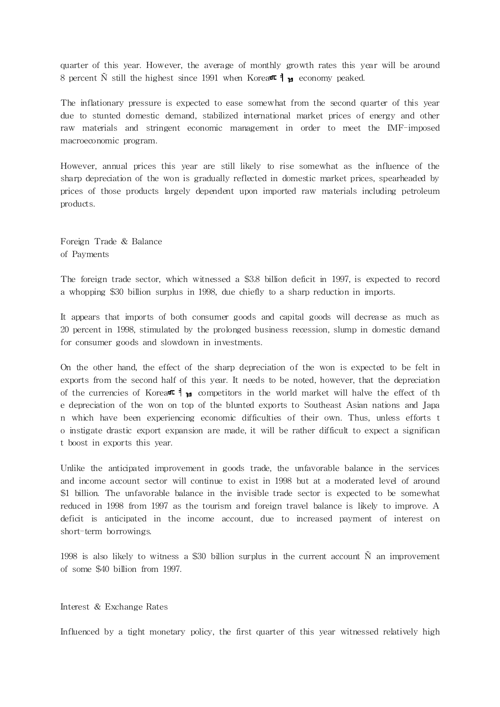quarter of this year. However, the average of monthly growth rates this year will be around 8 percent  $\tilde{N}$  still the highest since 1991 when Korea  $\mathbb{I}$  = economy peaked.

The inflationary pressure is expected to ease somewhat from the second quarter of this year due to stunted domestic demand, stabilized international market prices of energy and other raw materials and stringent economic management in order to meet the IMF-imposed macroeconomic program.

However, annual prices this year are still likely to rise somewhat as the influence of the sharp depreciation of the won is gradually reflected in domestic market prices, spearheaded by prices of those products largely dependent upon imported raw ma terials including petroleum products.

Foreign Trade & Balance of Payments

The foreign trade sector, which witnessed a \$3.8 billion deficit in 1997, is expected to record a whopping \$30 billion surplus in 1998, due chiefly to a sharp reduction in imports.

It appears that imports of both consumer goods and capital goods will decrease as much as 20 percent in 1998, stimulated by the prolonged business recession, slump in domestic demand for consumer goods and slowdown in investments.

On the other hand, the effect of the sharp depreciation of the won is expected to be felt in exports from the second half of this year. It needs to be noted, however, that the depreciation of the currencies of Korea $\pi$  and  $\pi$  competitors in the world market will halve the effect of the e depreciation of the won on top of the blunted exports to Southeast Asian nations and Japa n which have been experiencing economic difficulties of their own. Thus, unless efforts t o instigate drastic export expansion are made, it will be rather difficult to expect a significan t boost in exports this year.

Unlike the anticipa ted improvement in goods trade, the unfavorable balance in the services and income account sector will continue to exist in 1998 but at a moderated level of around \$1 billion. The unfavorable balance in the invisible trade sector is expected to be somewhat reduced in 1998 from 1997 as the tourism and foreign travel balance is likely to improve. A deficit is anticipated in the income account, due to increased payment of interest on short-term borrowings.

1998 is also likely to witness a \$30 billion surplus in the current account  $\tilde{N}$  an improvement of some \$40 billion from 1997.

### Interest & Exchange Rates

Influenced by a tight monetary policy, the first quarter of this year witnessed relatively high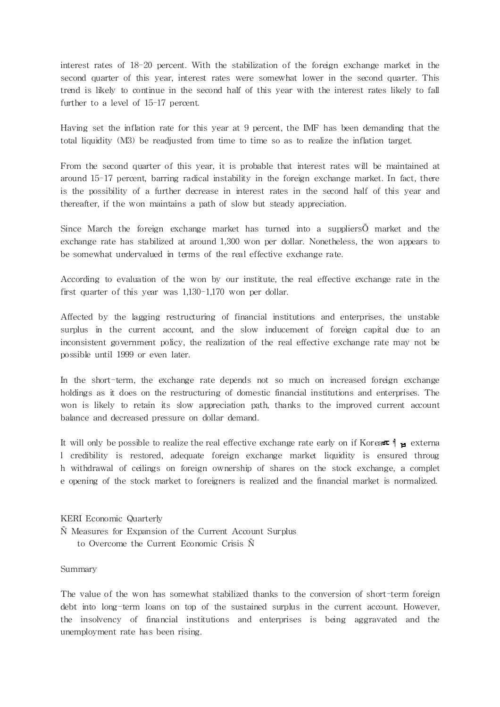interest rates of 18-20 percent. With the stabilization of the foreign exchange market in the second quarter of this year, interest rates were somewhat lower in the second quarter. This trend is likely to continue in the second half of this year with the interest rates likely to fall further to a level of 15-17 percent.

Having set the inflation rate for this year at 9 percent, the IMF has been demanding that the total liquidity (M3) be readjusted from time to time so as to realize the inflation target.

From the second quarter of this year, it is probable that interest rates will be maintained at around 15-17 percent, barring radical instability in the foreign exchange market. In fact, there is the possibility of a further decrease in interest rates in the second half of this year and thereafter, if the won maintains a path of slow but steady appreciation.

Since March the foreign exchange market has turned into a suppliersÕ market and the exchange rate has stabilized at around 1,300 won per dollar. Nonetheless, the won appears to be somewhat undervalued in terms of the real effective exchange rate.

According to evaluation of the won by our institute, the real effective exchange rate in the first quarter of this year was 1,130-1,170 won per dollar.

Affected by the lagging restructuring of financial institutions and enterprises, the unstable surplus in the current account, and the slow inducement of foreign capital due to an inconsistent government policy, the realization of the real effective exchange rate may not be possible until 1999 or even later.

In the short-term, the exchange rate depends not so much on increased foreign exchange holdings as it does on the restructuring of domestic financial institutions and enterprises. The won is likely to retain its slow appreciation path, thanks to the improved current account balance and decreased pressure on dollar demand.

It will only be possible to realize the real effective exchange rate early on if Korea  $\mathbb{F}$   $\mathbb{F}$  externa l credibility is restored, adequate foreign exchange market liquidity is ensured throug h withdrawal of ceilings on foreign ownership of shares on the stock exchange, a complet e opening of the stock market to foreigners is realized and the financial market is normalized.

KERI Economic Quarterly Ñ Measures for Expansion of the Current Account Surplus to Overcome the Current Economic Crisis Ñ

## Summary

The value of the won has somewhat stabilized thanks to the conversion of short-term foreign debt into long-term loans on top of the sustained surplus in the current account. However, the insolvency of financial institutions and enterprises is being aggravated and the unemployment rate has been rising.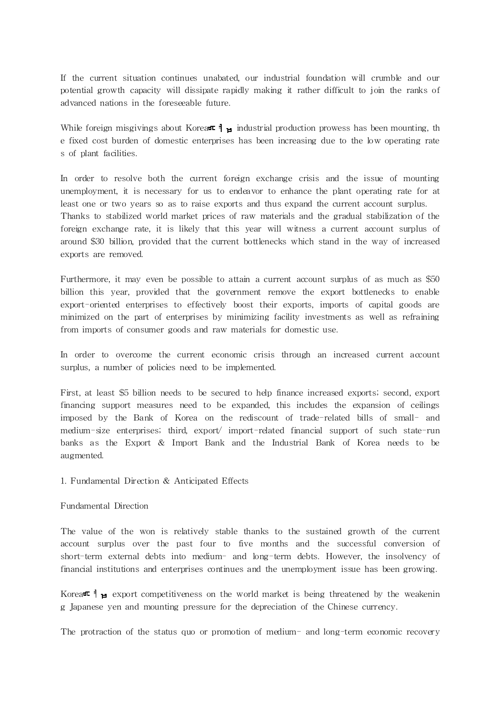If the current situation continues unabated, our industrial foundation will crumble and our potential growth capacity will dissipate rapidly making it rather difficult to join the ranks of advanced nations in the foreseeable future.

While foreign misgivings about Korea $\pi$  industrial production prowess has been mounting, the e fixed cost burden of domestic enterprises has been increasing due to the low operating rate s of plant facilities.

In order to resolve both the current foreign exchange crisis and the issue of mounting unemployment, it is necessary for us to endeavor to enhance the plant operating rate for at least one or two years so as to raise exports and thus expand the current account surplus. Thanks to stabilized world market prices of raw materials and the gradual stabilization of the foreign exchange rate, it is likely that this year will witness a current account surplus of around \$30 billion, provided that the current bottlenecks which stand in the way of increased exports are removed.

Furthermore, it may even be possible to attain a current account surplus of as much as \$50 billion this year, provided that the government remove the export bottlenecks to enable export-oriented enterprises to effectively boost their exports, imports of capital goods are minimized on the part of enterprises by minimizing facility investments as well as refraining from imports of consumer goods and raw materials for domestic use.

In order to overcome the current economic crisis through an increased current account surplus, a number of policies need to be implemented.

First, at least \$5 billion needs to be secured to help finance increased exports; second, export financing support measures need to be expanded, this includes the expansion of ceilings imposed by the Bank of Korea on the rediscount of trade-related bills of small- and medium-size enterprises; third, export/ import-related financial support of such state-run banks as the Export & Import Bank and the Industrial Bank of Korea needs to be augmented.

## 1. Fundamental Direction & Anticipated Effects

## Fundamental Direction

The value of the won is relatively stable thanks to the sustained growth of the current account surplus over the past four to five months and the successful conversion of short-term external debts into medium- and long-term debts. However, the insolvency of financial institutions and enterprises continues and the unemployment issue has been growing.

Korea $\blacksquare$   $\blacksquare$  export competitiveness on the world market is being threatened by the weakenin g Japanese yen and mounting pressure for the depreciation of the Chinese currency.

The protraction of the status quo or promotion of medium- and long-term economic recovery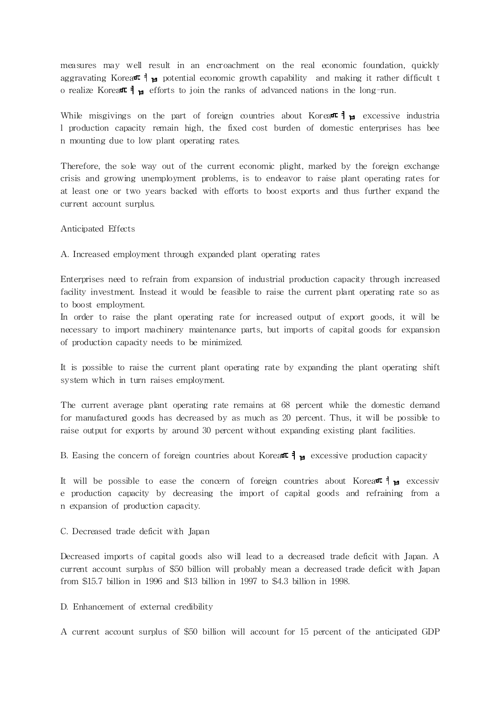measures may well result in an encroachment on the real economic foundation, quickly aggravating Korea $\blacksquare$   $\blacksquare$  potential economic growth capability and making it rather difficult t o realize Korea<sup> $\uparrow$ </sup>  $\uparrow$  efforts to join the ranks of advanced nations in the long-run.

While misgivings on the part of foreign countries about Korea $\pi$   $\uparrow$   $\downarrow$  excessive industria l production capacity remain high, the fixed cost burden of domestic enterprises has bee n mounting due to low plant operating rates.

Therefore, the sole way out of the current economic plight, marked by the foreign exchange crisis and growing unemployment problems, is to endeavor to raise plant operating rates for at least one or two years backed with efforts to boost exports and thus further expand the current account surplus.

Anticipated Effects

A. Increased employment through expanded plant operating rates

Enterprises need to refrain from expansion of industrial production capacity through increased facility investment. Instead it would be feasible to raise the current plant operating rate so as to boost employment.

In order to raise the plant operating rate for increased output of export goods, it will be necessary to import machinery maintenance parts, but imports of capital goods for expansion of production capacity needs to be minimized.

It is possible to raise the current plant operating rate by expanding the plant operating shift system which in turn raises employment.

The current average plant operating rate remains at 68 percent while the domestic demand for manufactured goods has decreased by as much as 20 percent. Thus, it will be possible to raise output for exports by around 30 percent without expanding existing plant facilities.

B. Easing the concern of foreign countries about Korea  $\mathbf{H}_{\mathbf{H}}$  excessive production capacity

It will be possible to ease the concern of foreign countries about Korea $\pi$   $\uparrow$   $\uparrow$  excessiv e production capacity by decreasing the import of capital goods and refraining from a n expansion of production capacity.

C. Decreased trade deficit with Japan

Decreased imports of capital goods also will lead to a decreased trade deficit with Japan. A current account surplus of \$50 billion will probably mean a decreased trade deficit with Japan from \$15.7 billion in 1996 and \$13 billion in 1997 to \$4.3 billion in 1998.

D. Enhancement of external credibility

A current account surplus of \$50 billion will account for 15 percent of the anticipated GDP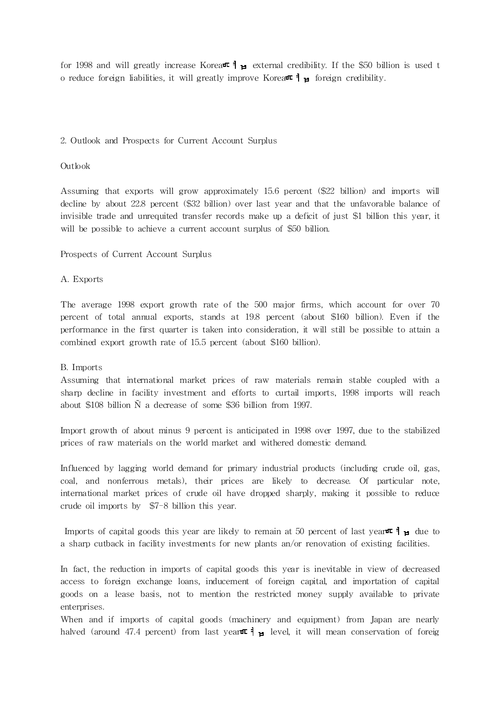for 1998 and will greatly increase Korea  $\parallel$   $\parallel$  external credibility. If the \$50 billion is used t o reduce foreign liabilities, it will greatly improve Korea $\pi$ ,  $\sharp$  foreign credibility.

# 2. Outlook and Prospects for Current Account Surplus

## Outlook

Assuming that exports will grow approximately 15.6 percent (\$22 billion) and imports will decline by about 22.8 percent (\$32 billion) over last year and that the unfavorable balance of invisible trade and unrequited transfer records make up a deficit of just \$1 billion this year, it will be possible to achieve a current account surplus of \$50 billion.

# Prospects of Current Account Surplus

# A. Exports

The average 1998 export growth rate of the 500 major firms, which account for over 70 percent of total annual exports, stands at 19.8 percent (about \$160 billion). Even if the performance in the first quarter is taken into consideration, it will still be possible to attain a combined export growth rate of 15.5 percent (about \$160 billion).

## B. Imports

Assuming that international market prices of raw materials remain stable coupled with a sharp decline in facility investment and efforts to curtail imports, 1998 imports will reach about \$108 billion Ñ a decrease of some \$36 billion from 1997.

Import growth of about minus 9 percent is anticipated in 1998 over 1997, due to the stabilized prices of raw materials on the world market and withered domestic demand.

Influenced by lagging world demand for primary industrial products (including crude oil, gas, coal, and nonferrous metals), their prices are likely to decrease. Of particular note, interna tional market prices of crude oil have dropped sharply, making it possible to reduce crude oil imports by \$7-8 billion this year.

Imports of capital goods this year are likely to remain at 50 percent of last year  $\mathbb{I}_{\mathbb{H}}$  due to a sharp cutback in facility investments for new plants an/or renovation of existing facilities.

In fact, the reduction in imports of capital goods this year is inevitable in view of decreased access to foreign exchange loans, inducement of foreign capital, and importation of capital goods on a lease basis, not to mention the restricted money supply available to private enterprises.

When and if imports of capital goods (machinery and equipment) from Japan are nearly halved (around 47.4 percent) from last year  $\mathbb{I}_{H}$  level, it will mean conservation of foreig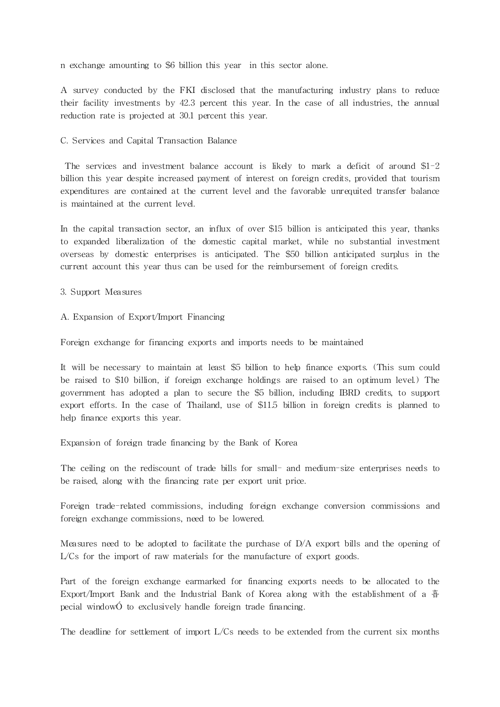n exchange amounting to \$6 billion this year in this sector alone.

A survey conducted by the FKI disclosed that the manufacturing industry plans to reduce their facility investments by 42.3 percent this year. In the case of all industries, the annual reduction rate is projected at 30.1 percent this year.

### C. Services and Capital Transaction Balance

The services and investment balance account is likely to mark a deficit of around  $$1-2$ billion this year despite increased payment of interest on foreign credits, provided that tourism expenditures are contained at the current level and the favorable unrequited transfer balance is maintained at the current level.

In the capital transaction sector, an influx of over \$15 billion is anticipated this year, thanks to expanded liberalization of the domestic capital market, while no substantial investment overseas by domestic enterprises is anticipated. The \$50 billion anticipated surplus in the current account this year thus can be used for the reimbursement of foreign credits.

3. Support Measures

A. Expansion of Export/Import Financing

Foreign exchange for financing exports and imports needs to be maintained

It will be necessary to maintain at least \$5 billion to help finance exports. (This sum could be raised to \$10 billion, if foreign exchange holdings are raised to an optimum level.) The government has adopted a plan to secure the \$5 billion, including IBRD credits, to support export efforts. In the case of Thailand, use of \$11.5 billion in foreign credits is planned to help finance exports this year.

Expansion of foreign trade financing by the Bank of Korea

The ceiling on the rediscount of trade bills for small- and medium-size enterprises needs to be raised, along with the financing rate per export unit price.

Foreign trade-related commissions, including foreign exchange conversion commissions and foreign exchange commissions, need to be lowered.

Measures need to be adopted to facilitate the purchase of D/A export bills and the opening of L/Cs for the import of raw materials for the manufacture of export goods.

Part of the foreign exchange earmarked for financing exports needs to be allocated to the Export/Import Bank and the Industrial Bank of Korea along with the establishment of a 音 pecial windowÓ to exclusively handle foreign trade financing.

The deadline for settlement of import  $L/Cs$  needs to be extended from the current six months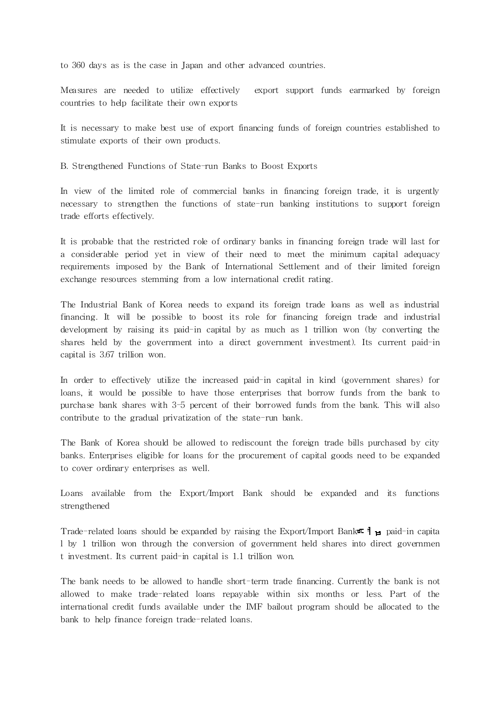to 360 days as is the case in Japan and other advanced countries.

Measures are needed to utilize effectively export support funds earmarked by foreign countries to help facilitate their own exports

It is necessary to make best use of export financing funds of foreign countries established to stimulate exports of their own products.

B. Strengthened Functions of State-run Banks to Boost Exports

In view of the limited role of commercial banks in financing foreign trade, it is urgently necessary to strengthen the functions of state-run banking institutions to support foreign trade efforts effectively.

It is probable that the restricted role of ordinary banks in financing foreign trade will last for a considerable period yet in view of their need to meet the minimum capital adequacy requirements imposed by the Bank of International Settlement and of their limited foreign exchange resources stemming from a low international credit rating.

The Industrial Bank of Korea needs to expand its foreign trade loans as well as industrial financing. It will be possible to boost its role for financing foreign trade and industrial development by raising its paid-in capital by as much as 1 trillion won (by converting the shares held by the government into a direct government investment). Its current paid-in capital is 3.67 trillion won.

In order to effectively utilize the increased paid-in capital in kind (government shares) for loans, it would be possible to have those enterprises that borrow funds from the bank to purchase bank shares with 3-5 percent of their borrowed funds from the bank. This will also contribute to the gradual privatization of the state-run bank.

The Bank of Korea should be allowed to rediscount the foreign trade bills purchased by city banks. Enterprises eligible for loans for the procurement of capital goods need to be expanded to cover ordinary enterprises as well.

Loans available from the Export/Import Bank should be expanded and its functions strengthened

Trade-related loans should be expanded by raising the Export/Import Bank  $\blacksquare$   $\blacksquare$  paid-in capita l by 1 trillion won through the conversion of government held shares into direct governmen t investment. Its current paid-in capital is 1.1 trillion won.

The bank needs to be allowed to handle short-term trade financing. Currently the bank is not allowed to make trade-related loans repayable within six months or less. Part of the interna tional credit funds available under the IMF bailout program should be allocated to the bank to help finance foreign trade-related loans.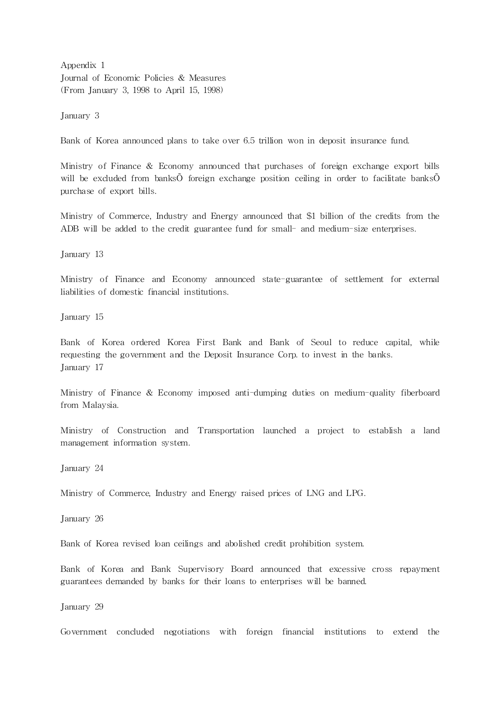Appendix 1 Journal of Economic Policies & Measures (From January 3, 1998 to April 15, 1998)

January 3

Bank of Korea announced plans to take over 6.5 trillion won in deposit insurance fund.

Ministry of Finance & Economy announced that purchases of foreign exchange export bills will be excluded from banksÕ foreign exchange position ceiling in order to facilitate banksÕ purchase of export bills.

Ministry of Commerce, Industry and Energy announced that \$1 billion of the credits from the ADB will be added to the credit guarantee fund for small- and medium-size enterprises.

January 13

Ministry of Finance and Economy announced state-guarantee of settlement for external liabilities of domestic financial institutions.

January 15

Bank of Korea ordered Korea First Bank and Bank of Seoul to reduce capital, while requesting the government and the Deposit Insurance Corp. to invest in the banks. January 17

Ministry of Finance & Economy imposed anti-dumping duties on medium-quality fiberboard from Malaysia.

Ministry of Construction and Transportation launched a project to establish a land management informa tion system.

January 24

Ministry of Commerce, Industry and Energy raised prices of LNG and LPG.

January 26

Bank of Korea revised loan ceilings and abolished credit prohibition system.

Bank of Korea and Bank Supervisory Board announced that excessive cross repayment guarantees demanded by banks for their loans to enterprises will be banned.

January 29

Government concluded negotiations with foreign financial institutions to extend the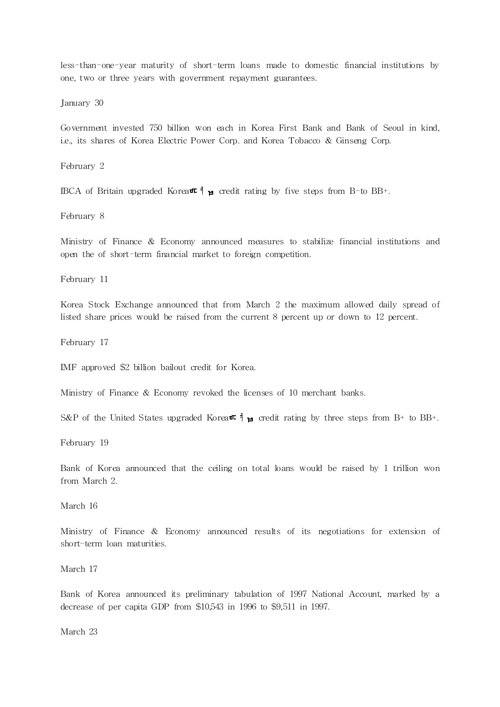less-than-one-year maturity of short-term loans made to domestic financial institutions by one, two or three years with government repayment guarantees.

January 30

Government invested 750 billion won each in Korea First Bank and Bank of Seoul in kind, i.e., its shares of Korea Electric Power Corp. and Korea Tobacco & Ginseng Corp.

February 2

IBCA of Britain upgraded Korea $\pi$  |  $\mu$  credit rating by five steps from B-to BB+.

February 8

Ministry of Finance & Economy announced measures to stabilize financial institutions and open the of short-term financial market to foreign competition.

February 11

Korea Stock Exchange announced that from March 2 the maximum allowed daily spread of listed share prices would be raised from the current 8 percent up or down to 12 percent.

February 17

IMF approved \$2 billion bailout credit for Korea.

Ministry of Finance & Economy revoked the licenses of 10 merchant banks.

S&P of the United States upgraded Korea $\pi \nmid_{\mathbf{H}}$  credit rating by three steps from B+ to BB+.

February 19

Bank of Korea announced that the ceiling on total loans would be raised by 1 trillion won from March 2.

March 16

Ministry of Finance & Economy announced results of its negotiations for extension of short-term loan maturities.

March 17

Bank of Korea announced its preliminary tabulation of 1997 National Account, marked by a decrease of per capita GDP from \$10,543 in 1996 to \$9,511 in 1997.

March 23